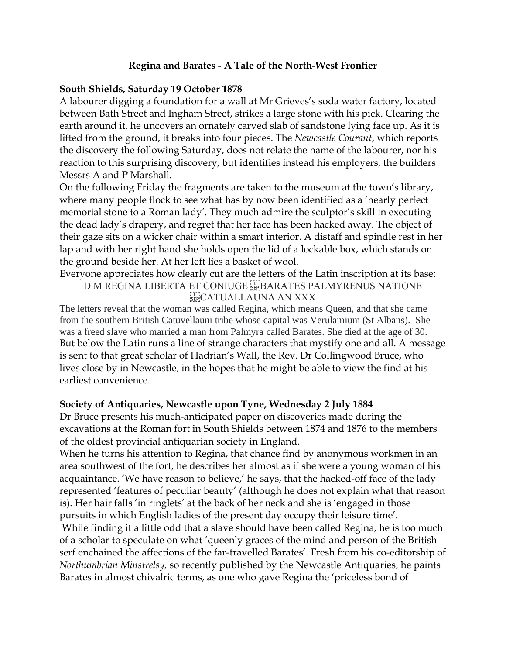### **Regina and Barates - A Tale of the North-West Frontier**

#### **South Shields, Saturday 19 October 1878**

A labourer digging a foundation for a wall at Mr Grieves's soda water factory, located between Bath Street and Ingham Street, strikes a large stone with his pick. Clearing the earth around it, he uncovers an ornately carved slab of sandstone lying face up. As it is lifted from the ground, it breaks into four pieces. The *Newcastle Courant*, which reports the discovery the following Saturday, does not relate the name of the labourer, nor his reaction to this surprising discovery, but identifies instead his employers, the builders Messrs A and P Marshall.

On the following Friday the fragments are taken to the museum at the town's library, where many people flock to see what has by now been identified as a 'nearly perfect memorial stone to a Roman lady'. They much admire the sculptor's skill in executing the dead lady's drapery, and regret that her face has been hacked away. The object of their gaze sits on a wicker chair within a smart interior. A distaff and spindle rest in her lap and with her right hand she holds open the lid of a lockable box, which stands on the ground beside her. At her left lies a basket of wool.

Everyone appreciates how clearly cut are the letters of the Latin inscription at its base:

D M REGINA LIBERTA ET CONIUGE FRARATES PALMYRENUS NATIONE **SEP CATUALLAUNA AN XXX** 

The letters reveal that the woman was called Regina, which means Queen, and that she came from the southern British Catuvellauni tribe whose capital was Verulamium (St Albans). She was a freed slave who married a man from Palmyra called Barates. She died at the age of 30. But below the Latin runs a line of strange characters that mystify one and all. A message is sent to that great scholar of Hadrian's Wall, the Rev. Dr Collingwood Bruce, who lives close by in Newcastle, in the hopes that he might be able to view the find at his earliest convenience.

### **Society of Antiquaries, Newcastle upon Tyne, Wednesday 2 July 1884**

Dr Bruce presents his much-anticipated paper on discoveries made during the excavations at the Roman fort in South Shields between 1874 and 1876 to the members of the oldest provincial antiquarian society in England.

When he turns his attention to Regina, that chance find by anonymous workmen in an area southwest of the fort, he describes her almost as if she were a young woman of his acquaintance. 'We have reason to believe,' he says, that the hacked-off face of the lady represented 'features of peculiar beauty' (although he does not explain what that reason is). Her hair falls 'in ringlets' at the back of her neck and she is 'engaged in those pursuits in which English ladies of the present day occupy their leisure time'.

While finding it a little odd that a slave should have been called Regina, he is too much of a scholar to speculate on what 'queenly graces of the mind and person of the British serf enchained the affections of the far-travelled Barates'. Fresh from his co-editorship of *Northumbrian Minstrelsy,* so recently published by the Newcastle Antiquaries, he paints Barates in almost chivalric terms, as one who gave Regina the 'priceless bond of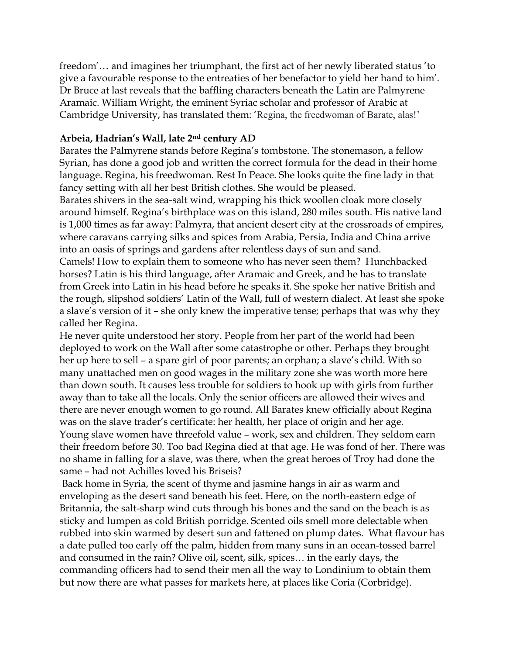freedom'… and imagines her triumphant, the first act of her newly liberated status 'to give a favourable response to the entreaties of her benefactor to yield her hand to him'. Dr Bruce at last reveals that the baffling characters beneath the Latin are Palmyrene Aramaic. William Wright, the eminent Syriac scholar and professor of Arabic at Cambridge University, has translated them: 'Regina, the freedwoman of Barate, alas!'

# **Arbeia, Hadrian's Wall, late 2nd century AD**

Barates the Palmyrene stands before Regina's tombstone. The stonemason, a fellow Syrian, has done a good job and written the correct formula for the dead in their home language. Regina, his freedwoman. Rest In Peace. She looks quite the fine lady in that fancy setting with all her best British clothes. She would be pleased.

Barates shivers in the sea-salt wind, wrapping his thick woollen cloak more closely around himself. Regina's birthplace was on this island, 280 miles south. His native land is 1,000 times as far away: Palmyra, that ancient desert city at the crossroads of empires, where caravans carrying silks and spices from Arabia, Persia, India and China arrive into an oasis of springs and gardens after relentless days of sun and sand. Camels! How to explain them to someone who has never seen them? Hunchbacked horses? Latin is his third language, after Aramaic and Greek, and he has to translate from Greek into Latin in his head before he speaks it. She spoke her native British and the rough, slipshod soldiers' Latin of the Wall, full of western dialect. At least she spoke a slave's version of it – she only knew the imperative tense; perhaps that was why they called her Regina.

He never quite understood her story. People from her part of the world had been deployed to work on the Wall after some catastrophe or other. Perhaps they brought her up here to sell – a spare girl of poor parents; an orphan; a slave's child. With so many unattached men on good wages in the military zone she was worth more here than down south. It causes less trouble for soldiers to hook up with girls from further away than to take all the locals. Only the senior officers are allowed their wives and there are never enough women to go round. All Barates knew officially about Regina was on the slave trader's certificate: her health, her place of origin and her age. Young slave women have threefold value – work, sex and children. They seldom earn their freedom before 30. Too bad Regina died at that age. He was fond of her. There was no shame in falling for a slave, was there, when the great heroes of Troy had done the same – had not Achilles loved his Briseis?

Back home in Syria, the scent of thyme and jasmine hangs in air as warm and enveloping as the desert sand beneath his feet. Here, on the north-eastern edge of Britannia, the salt-sharp wind cuts through his bones and the sand on the beach is as sticky and lumpen as cold British porridge. Scented oils smell more delectable when rubbed into skin warmed by desert sun and fattened on plump dates. What flavour has a date pulled too early off the palm, hidden from many suns in an ocean-tossed barrel and consumed in the rain? Olive oil, scent, silk, spices… in the early days, the commanding officers had to send their men all the way to Londinium to obtain them but now there are what passes for markets here, at places like Coria (Corbridge).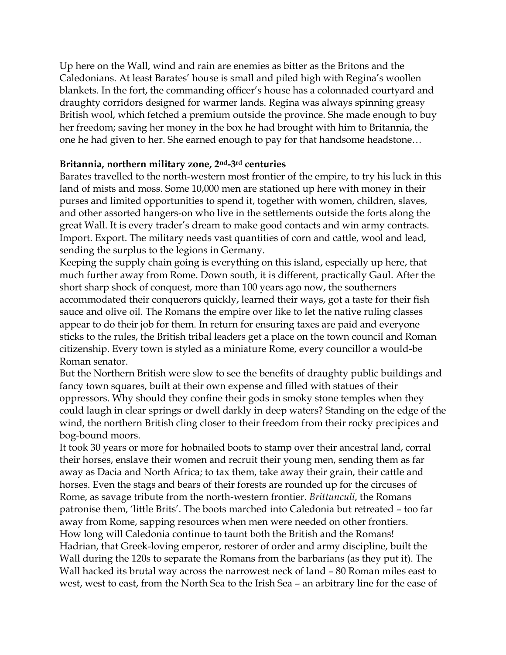Up here on the Wall, wind and rain are enemies as bitter as the Britons and the Caledonians. At least Barates' house is small and piled high with Regina's woollen blankets. In the fort, the commanding officer's house has a colonnaded courtyard and draughty corridors designed for warmer lands. Regina was always spinning greasy British wool, which fetched a premium outside the province. She made enough to buy her freedom; saving her money in the box he had brought with him to Britannia, the one he had given to her. She earned enough to pay for that handsome headstone…

# **Britannia, northern military zone, 2nd-3rd centuries**

Barates travelled to the north-western most frontier of the empire, to try his luck in this land of mists and moss. Some 10,000 men are stationed up here with money in their purses and limited opportunities to spend it, together with women, children, slaves, and other assorted hangers-on who live in the settlements outside the forts along the great Wall. It is every trader's dream to make good contacts and win army contracts. Import. Export. The military needs vast quantities of corn and cattle, wool and lead, sending the surplus to the legions in Germany.

Keeping the supply chain going is everything on this island, especially up here, that much further away from Rome. Down south, it is different, practically Gaul. After the short sharp shock of conquest, more than 100 years ago now, the southerners accommodated their conquerors quickly, learned their ways, got a taste for their fish sauce and olive oil. The Romans the empire over like to let the native ruling classes appear to do their job for them. In return for ensuring taxes are paid and everyone sticks to the rules, the British tribal leaders get a place on the town council and Roman citizenship. Every town is styled as a miniature Rome, every councillor a would-be Roman senator.

But the Northern British were slow to see the benefits of draughty public buildings and fancy town squares, built at their own expense and filled with statues of their oppressors. Why should they confine their gods in smoky stone temples when they could laugh in clear springs or dwell darkly in deep waters? Standing on the edge of the wind, the northern British cling closer to their freedom from their rocky precipices and bog-bound moors.

It took 30 years or more for hobnailed boots to stamp over their ancestral land, corral their horses, enslave their women and recruit their young men, sending them as far away as Dacia and North Africa; to tax them, take away their grain, their cattle and horses. Even the stags and bears of their forests are rounded up for the circuses of Rome, as savage tribute from the north-western frontier. *Brittunculi*, the Romans patronise them, 'little Brits'. The boots marched into Caledonia but retreated – too far away from Rome, sapping resources when men were needed on other frontiers. How long will Caledonia continue to taunt both the British and the Romans! Hadrian, that Greek-loving emperor, restorer of order and army discipline, built the Wall during the 120s to separate the Romans from the barbarians (as they put it). The Wall hacked its brutal way across the narrowest neck of land – 80 Roman miles east to west, west to east, from the North Sea to the Irish Sea – an arbitrary line for the ease of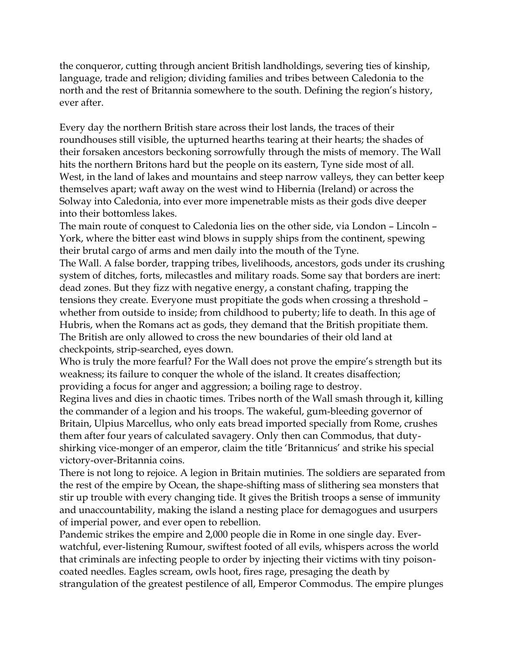the conqueror, cutting through ancient British landholdings, severing ties of kinship, language, trade and religion; dividing families and tribes between Caledonia to the north and the rest of Britannia somewhere to the south. Defining the region's history, ever after.

Every day the northern British stare across their lost lands, the traces of their roundhouses still visible, the upturned hearths tearing at their hearts; the shades of their forsaken ancestors beckoning sorrowfully through the mists of memory. The Wall hits the northern Britons hard but the people on its eastern, Tyne side most of all. West, in the land of lakes and mountains and steep narrow valleys, they can better keep themselves apart; waft away on the west wind to Hibernia (Ireland) or across the Solway into Caledonia, into ever more impenetrable mists as their gods dive deeper into their bottomless lakes.

The main route of conquest to Caledonia lies on the other side, via London – Lincoln – York, where the bitter east wind blows in supply ships from the continent, spewing their brutal cargo of arms and men daily into the mouth of the Tyne.

The Wall. A false border, trapping tribes, livelihoods, ancestors, gods under its crushing system of ditches, forts, milecastles and military roads. Some say that borders are inert: dead zones. But they fizz with negative energy, a constant chafing, trapping the tensions they create. Everyone must propitiate the gods when crossing a threshold – whether from outside to inside; from childhood to puberty; life to death. In this age of Hubris, when the Romans act as gods, they demand that the British propitiate them. The British are only allowed to cross the new boundaries of their old land at checkpoints, strip-searched, eyes down.

Who is truly the more fearful? For the Wall does not prove the empire's strength but its weakness; its failure to conquer the whole of the island. It creates disaffection; providing a focus for anger and aggression; a boiling rage to destroy.

Regina lives and dies in chaotic times. Tribes north of the Wall smash through it, killing the commander of a legion and his troops. The wakeful, gum-bleeding governor of Britain, Ulpius Marcellus, who only eats bread imported specially from Rome, crushes them after four years of calculated savagery. Only then can Commodus, that dutyshirking vice-monger of an emperor, claim the title 'Britannicus' and strike his special victory-over-Britannia coins.

There is not long to rejoice. A legion in Britain mutinies. The soldiers are separated from the rest of the empire by Ocean, the shape-shifting mass of slithering sea monsters that stir up trouble with every changing tide. It gives the British troops a sense of immunity and unaccountability, making the island a nesting place for demagogues and usurpers of imperial power, and ever open to rebellion.

Pandemic strikes the empire and 2,000 people die in Rome in one single day. Everwatchful, ever-listening Rumour, swiftest footed of all evils, whispers across the world that criminals are infecting people to order by injecting their victims with tiny poisoncoated needles. Eagles scream, owls hoot, fires rage, presaging the death by strangulation of the greatest pestilence of all, Emperor Commodus. The empire plunges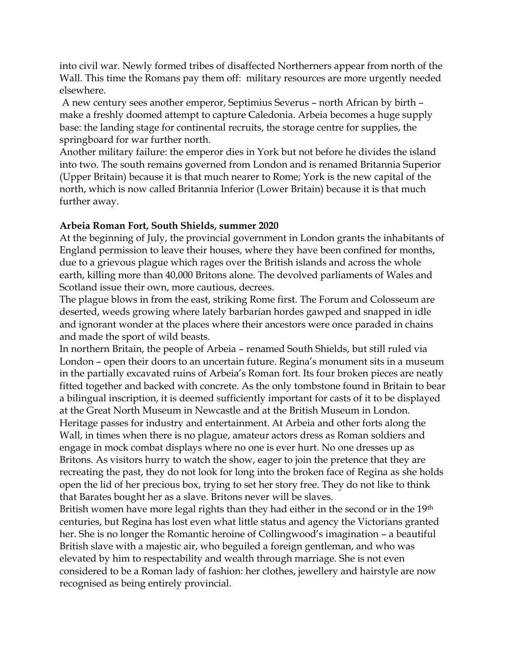into civil war. Newly formed tribes of disaffected Northerners appear from north of the Wall. This time the Romans pay them off: military resources are more urgently needed elsewhere.

A new century sees another emperor, Septimius Severus – north African by birth – make a freshly doomed attempt to capture Caledonia. Arbeia becomes a huge supply base: the landing stage for continental recruits, the storage centre for supplies, the springboard for war further north.

Another military failure: the emperor dies in York but not before he divides the island into two. The south remains governed from London and is renamed Britannia Superior (Upper Britain) because it is that much nearer to Rome; York is the new capital of the north, which is now called Britannia Inferior (Lower Britain) because it is that much further away.

### **Arbeia Roman Fort, South Shields, summer 2020**

At the beginning of July, the provincial government in London grants the inhabitants of England permission to leave their houses, where they have been confined for months, due to a grievous plague which rages over the British islands and across the whole earth, killing more than 40,000 Britons alone. The devolved parliaments of Wales and Scotland issue their own, more cautious, decrees.

The plague blows in from the east, striking Rome first. The Forum and Colosseum are deserted, weeds growing where lately barbarian hordes gawped and snapped in idle and ignorant wonder at the places where their ancestors were once paraded in chains and made the sport of wild beasts.

In northern Britain, the people of Arbeia – renamed South Shields, but still ruled via London – open their doors to an uncertain future. Regina's monument sits in a museum in the partially excavated ruins of Arbeia's Roman fort. Its four broken pieces are neatly fitted together and backed with concrete. As the only tombstone found in Britain to bear a bilingual inscription, it is deemed sufficiently important for casts of it to be displayed at the Great North Museum in Newcastle and at the British Museum in London. Heritage passes for industry and entertainment. At Arbeia and other forts along the Wall, in times when there is no plague, amateur actors dress as Roman soldiers and engage in mock combat displays where no one is ever hurt. No one dresses up as Britons. As visitors hurry to watch the show, eager to join the pretence that they are recreating the past, they do not look for long into the broken face of Regina as she holds open the lid of her precious box, trying to set her story free. They do not like to think that Barates bought her as a slave. Britons never will be slaves.

British women have more legal rights than they had either in the second or in the 19<sup>th</sup> centuries, but Regina has lost even what little status and agency the Victorians granted her. She is no longer the Romantic heroine of Collingwood's imagination – a beautiful British slave with a majestic air, who beguiled a foreign gentleman, and who was elevated by him to respectability and wealth through marriage. She is not even considered to be a Roman lady of fashion: her clothes, jewellery and hairstyle are now recognised as being entirely provincial.